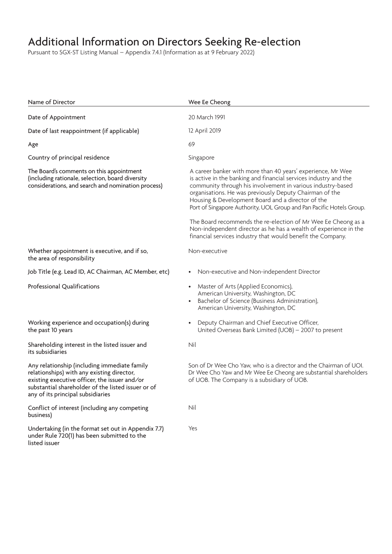Pursuant to SGX-ST Listing Manual – Appendix 7.4.1 (Information as at 9 February 2022)

| Name of Director                                                                                                                                                                                                                       | Wee Ee Cheong                                                                                                                                                                                                                                                                                                                                                                          |  |  |
|----------------------------------------------------------------------------------------------------------------------------------------------------------------------------------------------------------------------------------------|----------------------------------------------------------------------------------------------------------------------------------------------------------------------------------------------------------------------------------------------------------------------------------------------------------------------------------------------------------------------------------------|--|--|
| Date of Appointment                                                                                                                                                                                                                    | 20 March 1991                                                                                                                                                                                                                                                                                                                                                                          |  |  |
| Date of last reappointment (if applicable)                                                                                                                                                                                             | 12 April 2019                                                                                                                                                                                                                                                                                                                                                                          |  |  |
| Age                                                                                                                                                                                                                                    | 69                                                                                                                                                                                                                                                                                                                                                                                     |  |  |
| Country of principal residence                                                                                                                                                                                                         | Singapore                                                                                                                                                                                                                                                                                                                                                                              |  |  |
| The Board's comments on this appointment<br>(including rationale, selection, board diversity<br>considerations, and search and nomination process)                                                                                     | A career banker with more than 40 years' experience, Mr Wee<br>is active in the banking and financial services industry and the<br>community through his involvement in various industry-based<br>organisations. He was previously Deputy Chairman of the<br>Housing & Development Board and a director of the<br>Port of Singapore Authority, UOL Group and Pan Pacific Hotels Group. |  |  |
|                                                                                                                                                                                                                                        | The Board recommends the re-election of Mr Wee Ee Cheong as a<br>Non-independent director as he has a wealth of experience in the<br>financial services industry that would benefit the Company.                                                                                                                                                                                       |  |  |
| Whether appointment is executive, and if so,<br>the area of responsibility                                                                                                                                                             | Non-executive                                                                                                                                                                                                                                                                                                                                                                          |  |  |
| Job Title (e.g. Lead ID, AC Chairman, AC Member, etc)                                                                                                                                                                                  | Non-executive and Non-independent Director<br>$\bullet$                                                                                                                                                                                                                                                                                                                                |  |  |
| <b>Professional Qualifications</b>                                                                                                                                                                                                     | • Master of Arts (Applied Economics),<br>American University, Washington, DC<br>Bachelor of Science (Business Administration),<br>$\bullet$<br>American University, Washington, DC                                                                                                                                                                                                     |  |  |
| Working experience and occupation(s) during<br>the past 10 years                                                                                                                                                                       | Deputy Chairman and Chief Executive Officer,<br>United Overseas Bank Limited (UOB) - 2007 to present                                                                                                                                                                                                                                                                                   |  |  |
| Shareholding interest in the listed issuer and<br>its subsidiaries                                                                                                                                                                     | Nil                                                                                                                                                                                                                                                                                                                                                                                    |  |  |
| Any relationship (including immediate family<br>relationships) with any existing director,<br>existing executive officer, the issuer and/or<br>substantial shareholder of the listed issuer or of<br>any of its principal subsidiaries | Son of Dr Wee Cho Yaw, who is a director and the Chairman of UOI.<br>Dr Wee Cho Yaw and Mr Wee Ee Cheong are substantial shareholders<br>of UOB. The Company is a subsidiary of UOB.                                                                                                                                                                                                   |  |  |
| Conflict of interest (including any competing<br>business)                                                                                                                                                                             | Nil                                                                                                                                                                                                                                                                                                                                                                                    |  |  |
| Undertaking (in the format set out in Appendix 7.7)<br>under Rule 720(1) has been submitted to the<br>listed issuer                                                                                                                    | Yes                                                                                                                                                                                                                                                                                                                                                                                    |  |  |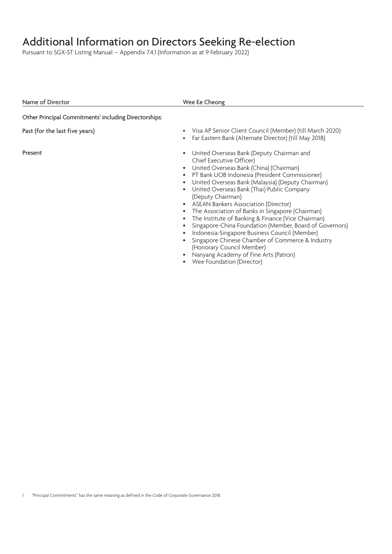Pursuant to SGX-ST Listing Manual – Appendix 7.4.1 (Information as at 9 February 2022)

| Visa AP Senior Client Council (Member) (till March 2020)<br>Far Eastern Bank (Alternate Director) (till May 2018)                                                                                                                                                                                                                                                                                                                                                                                                                                                                                                                                                                                                      |
|------------------------------------------------------------------------------------------------------------------------------------------------------------------------------------------------------------------------------------------------------------------------------------------------------------------------------------------------------------------------------------------------------------------------------------------------------------------------------------------------------------------------------------------------------------------------------------------------------------------------------------------------------------------------------------------------------------------------|
| United Overseas Bank (Deputy Chairman and<br>Chief Executive Officer)<br>United Overseas Bank (China) (Chairman)<br>PT Bank UOB Indonesia (President Commissioner)<br>United Overseas Bank (Malaysia) (Deputy Chairman)<br>United Overseas Bank (Thai) Public Company<br>(Deputy Chairman)<br><b>ASEAN Bankers Association (Director)</b><br>The Association of Banks in Singapore (Chairman)<br>The Institute of Banking & Finance (Vice Chairman)<br>Singapore-China Foundation (Member, Board of Governors)<br>Indonesia-Singapore Business Council (Member)<br>Singapore Chinese Chamber of Commerce & Industry<br>(Honorary Council Member)<br>Nanyang Academy of Fine Arts (Patron)<br>Wee Foundation (Director) |
|                                                                                                                                                                                                                                                                                                                                                                                                                                                                                                                                                                                                                                                                                                                        |

1 "Principal Commitments" has the same meaning as defined in the Code of Corporate Governance 2018.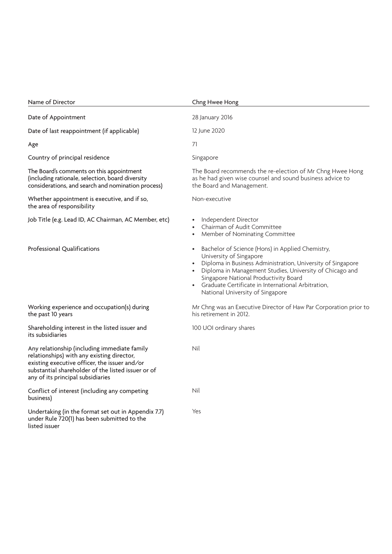| Name of Director                                                                                                                                                                                                                       | Chng Hwee Hong                                                                                                                                                                                                                                                                                                                                                      |  |  |  |
|----------------------------------------------------------------------------------------------------------------------------------------------------------------------------------------------------------------------------------------|---------------------------------------------------------------------------------------------------------------------------------------------------------------------------------------------------------------------------------------------------------------------------------------------------------------------------------------------------------------------|--|--|--|
| Date of Appointment                                                                                                                                                                                                                    | 28 January 2016                                                                                                                                                                                                                                                                                                                                                     |  |  |  |
| Date of last reappointment (if applicable)                                                                                                                                                                                             | 12 June 2020<br>71                                                                                                                                                                                                                                                                                                                                                  |  |  |  |
| Age                                                                                                                                                                                                                                    |                                                                                                                                                                                                                                                                                                                                                                     |  |  |  |
| Country of principal residence                                                                                                                                                                                                         | Singapore                                                                                                                                                                                                                                                                                                                                                           |  |  |  |
| The Board's comments on this appointment<br>(including rationale, selection, board diversity<br>considerations, and search and nomination process)                                                                                     | The Board recommends the re-election of Mr Chng Hwee Hong<br>as he had given wise counsel and sound business advice to<br>the Board and Management.                                                                                                                                                                                                                 |  |  |  |
| Whether appointment is executive, and if so,<br>the area of responsibility                                                                                                                                                             | Non-executive                                                                                                                                                                                                                                                                                                                                                       |  |  |  |
| Job Title (e.g. Lead ID, AC Chairman, AC Member, etc)                                                                                                                                                                                  | Independent Director<br>$\bullet$<br>Chairman of Audit Committee<br>Member of Nominating Committee                                                                                                                                                                                                                                                                  |  |  |  |
| Professional Qualifications                                                                                                                                                                                                            | Bachelor of Science (Hons) in Applied Chemistry,<br>$\bullet$<br>University of Singapore<br>Diploma in Business Administration, University of Singapore<br>Diploma in Management Studies, University of Chicago and<br>Singapore National Productivity Board<br>Graduate Certificate in International Arbitration,<br>$\bullet$<br>National University of Singapore |  |  |  |
| Working experience and occupation(s) during<br>the past 10 years                                                                                                                                                                       | Mr Chng was an Executive Director of Haw Par Corporation prior to<br>his retirement in 2012.                                                                                                                                                                                                                                                                        |  |  |  |
| Shareholding interest in the listed issuer and<br>its subsidiaries                                                                                                                                                                     | 100 UOI ordinary shares                                                                                                                                                                                                                                                                                                                                             |  |  |  |
| Any relationship (including immediate family<br>relationships) with any existing director,<br>existing executive officer, the issuer and/or<br>substantial shareholder of the listed issuer or of<br>any of its principal subsidiaries | Nil                                                                                                                                                                                                                                                                                                                                                                 |  |  |  |
| Conflict of interest (including any competing<br>business)                                                                                                                                                                             | Nil                                                                                                                                                                                                                                                                                                                                                                 |  |  |  |
| Undertaking (in the format set out in Appendix 7.7)<br>under Rule 720(1) has been submitted to the<br>listed issuer                                                                                                                    | Yes                                                                                                                                                                                                                                                                                                                                                                 |  |  |  |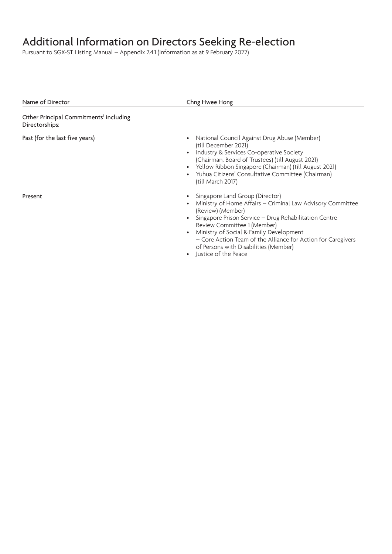Pursuant to SGX-ST Listing Manual – Appendix 7.4.1 (Information as at 9 February 2022)

| Name of Director                                                     | Chng Hwee Hong                                                                                                                                                                                                                                                                                                                                                                         |
|----------------------------------------------------------------------|----------------------------------------------------------------------------------------------------------------------------------------------------------------------------------------------------------------------------------------------------------------------------------------------------------------------------------------------------------------------------------------|
| Other Principal Commitments <sup>1</sup> including<br>Directorships: |                                                                                                                                                                                                                                                                                                                                                                                        |
| Past (for the last five years)                                       | National Council Against Drug Abuse (Member)<br>(till December 2021)<br>Industry & Services Co-operative Society<br>(Chairman, Board of Trustees) (till August 2021)<br>• Yellow Ribbon Singapore (Chairman) (till August 2021)<br>Yuhua Citizens' Consultative Committee (Chairman)<br>(till March 2017)                                                                              |
| Present                                                              | Singapore Land Group (Director)<br>Ministry of Home Affairs - Criminal Law Advisory Committee<br>(Review) (Member)<br>Singapore Prison Service - Drug Rehabilitation Centre<br>Review Committee 1 (Member)<br>Ministry of Social & Family Development<br>- Core Action Team of the Alliance for Action for Caregivers<br>of Persons with Disabilities (Member)<br>Justice of the Peace |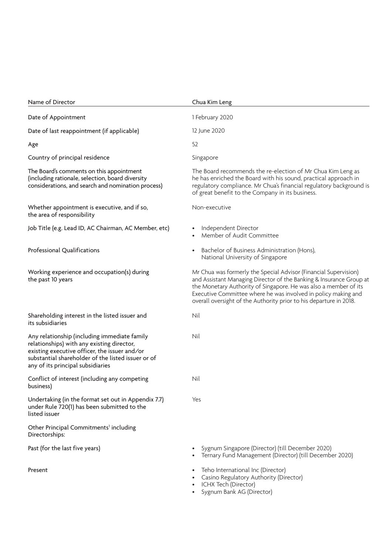| Name of Director                                                                                                                                                                                                                       | Chua Kim Leng                                                                                                                                                                                                                                                                                                                                       |  |  |
|----------------------------------------------------------------------------------------------------------------------------------------------------------------------------------------------------------------------------------------|-----------------------------------------------------------------------------------------------------------------------------------------------------------------------------------------------------------------------------------------------------------------------------------------------------------------------------------------------------|--|--|
| Date of Appointment                                                                                                                                                                                                                    | 1 February 2020                                                                                                                                                                                                                                                                                                                                     |  |  |
| Date of last reappointment (if applicable)                                                                                                                                                                                             | 12 June 2020<br>52                                                                                                                                                                                                                                                                                                                                  |  |  |
| Age                                                                                                                                                                                                                                    |                                                                                                                                                                                                                                                                                                                                                     |  |  |
| Country of principal residence                                                                                                                                                                                                         | Singapore                                                                                                                                                                                                                                                                                                                                           |  |  |
| The Board's comments on this appointment<br>(including rationale, selection, board diversity<br>considerations, and search and nomination process)                                                                                     | The Board recommends the re-election of Mr Chua Kim Leng as<br>he has enriched the Board with his sound, practical approach in<br>regulatory compliance. Mr Chua's financial regulatory background is<br>of great benefit to the Company in its business.                                                                                           |  |  |
| Whether appointment is executive, and if so,<br>the area of responsibility                                                                                                                                                             | Non-executive                                                                                                                                                                                                                                                                                                                                       |  |  |
| Job Title (e.g. Lead ID, AC Chairman, AC Member, etc)                                                                                                                                                                                  | Independent Director<br>Member of Audit Committee                                                                                                                                                                                                                                                                                                   |  |  |
| Professional Qualifications                                                                                                                                                                                                            | Bachelor of Business Administration (Hons),<br>National University of Singapore                                                                                                                                                                                                                                                                     |  |  |
| Working experience and occupation(s) during<br>the past 10 years                                                                                                                                                                       | Mr Chua was formerly the Special Advisor (Financial Supervision)<br>and Assistant Managing Director of the Banking & Insurance Group at<br>the Monetary Authority of Singapore. He was also a member of its<br>Executive Committee where he was involved in policy making and<br>overall oversight of the Authority prior to his departure in 2018. |  |  |
| Shareholding interest in the listed issuer and<br>its subsidiaries                                                                                                                                                                     | Nil                                                                                                                                                                                                                                                                                                                                                 |  |  |
| Any relationship (including immediate family<br>relationships) with any existing director,<br>existing executive officer, the issuer and/or<br>substantial shareholder of the listed issuer or of<br>any of its principal subsidiaries | Nil                                                                                                                                                                                                                                                                                                                                                 |  |  |
| Conflict of interest (including any competing<br>business)                                                                                                                                                                             | Nil                                                                                                                                                                                                                                                                                                                                                 |  |  |
| Undertaking (in the format set out in Appendix 7.7)<br>under Rule 720(1) has been submitted to the<br>listed issuer                                                                                                                    | Yes                                                                                                                                                                                                                                                                                                                                                 |  |  |
| Other Principal Commitments <sup>1</sup> including<br>Directorships:                                                                                                                                                                   |                                                                                                                                                                                                                                                                                                                                                     |  |  |
| Past (for the last five years)                                                                                                                                                                                                         | Sygnum Singapore (Director) (till December 2020)<br>Ternary Fund Management (Director) (till December 2020)                                                                                                                                                                                                                                         |  |  |
| Present                                                                                                                                                                                                                                | Teho International Inc (Director)<br>Casino Regulatory Authority (Director)                                                                                                                                                                                                                                                                         |  |  |

- ICHX Tech (Director)
- Sygnum Bank AG (Director)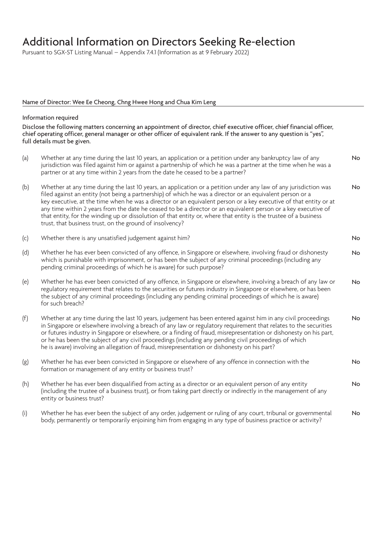Pursuant to SGX-ST Listing Manual – Appendix 7.4.1 (Information as at 9 February 2022)

#### Name of Director: Wee Ee Cheong, Chng Hwee Hong and Chua Kim Leng

#### Information required

Disclose the following matters concerning an appointment of director, chief executive officer, chief financial officer, chief operating officer, general manager or other officer of equivalent rank. If the answer to any question is "yes", full details must be given.

- (a) Whether at any time during the last 10 years, an application or a petition under any bankruptcy law of any jurisdiction was filed against him or against a partnership of which he was a partner at the time when he was a partner or at any time within 2 years from the date he ceased to be a partner? No (b) Whether at any time during the last 10 years, an application or a petition under any law of any jurisdiction was filed against an entity (not being a partnership) of which he was a director or an equivalent person or a key executive, at the time when he was a director or an equivalent person or a key executive of that entity or at any time within 2 years from the date he ceased to be a director or an equivalent person or a key executive of that entity, for the winding up or dissolution of that entity or, where that entity is the trustee of a business trust, that business trust, on the ground of insolvency? No
- (c) Whether there is any unsatisfied judgement against him? No
- (d) Whether he has ever been convicted of any offence, in Singapore or elsewhere, involving fraud or dishonesty which is punishable with imprisonment, or has been the subject of any criminal proceedings (including any pending criminal proceedings of which he is aware) for such purpose? No
- (e) Whether he has ever been convicted of any offence, in Singapore or elsewhere, involving a breach of any law or regulatory requirement that relates to the securities or futures industry in Singapore or elsewhere, or has been the subject of any criminal proceedings (including any pending criminal proceedings of which he is aware) for such breach? No
- (f) Whether at any time during the last 10 years, judgement has been entered against him in any civil proceedings in Singapore or elsewhere involving a breach of any law or regulatory requirement that relates to the securities or futures industry in Singapore or elsewhere, or a finding of fraud, misrepresentation or dishonesty on his part, or he has been the subject of any civil proceedings (including any pending civil proceedings of which he is aware) involving an allegation of fraud, misrepresentation or dishonesty on his part? No

No

- (g) Whether he has ever been convicted in Singapore or elsewhere of any offence in connection with the formation or management of any entity or business trust?
- (h) Whether he has ever been disqualified from acting as a director or an equivalent person of any entity (including the trustee of a business trust), or from taking part directly or indirectly in the management of any entity or business trust? No
- (i) Whether he has ever been the subject of any order, judgement or ruling of any court, tribunal or governmental body, permanently or temporarily enjoining him from engaging in any type of business practice or activity? No